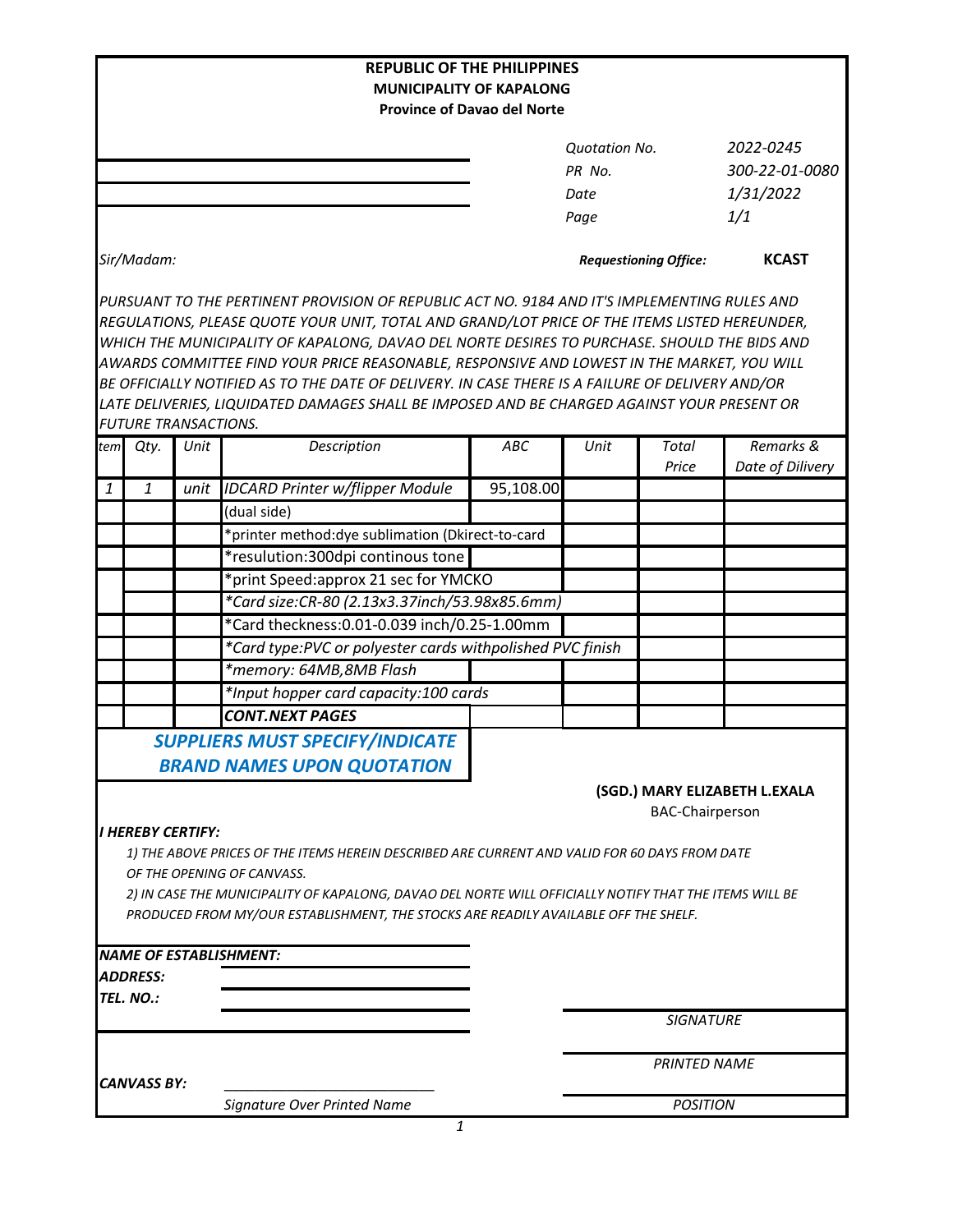|              |                                 |      | <b>REPUBLIC OF THE PHILIPPINES</b>                                                                     |           |                              |                        |                               |
|--------------|---------------------------------|------|--------------------------------------------------------------------------------------------------------|-----------|------------------------------|------------------------|-------------------------------|
|              |                                 |      | <b>MUNICIPALITY OF KAPALONG</b>                                                                        |           |                              |                        |                               |
|              |                                 |      | <b>Province of Davao del Norte</b>                                                                     |           |                              |                        |                               |
|              |                                 |      |                                                                                                        |           | <b>Quotation No.</b>         |                        | 2022-0245                     |
|              |                                 |      |                                                                                                        |           | PR No.                       |                        | 300-22-01-0080                |
|              |                                 |      |                                                                                                        |           | Date                         |                        | 1/31/2022                     |
|              |                                 |      |                                                                                                        |           | Page                         |                        | 1/1                           |
|              |                                 |      |                                                                                                        |           |                              |                        |                               |
|              | Sir/Madam:                      |      |                                                                                                        |           | <b>Requestioning Office:</b> |                        | <b>KCAST</b>                  |
|              |                                 |      | PURSUANT TO THE PERTINENT PROVISION OF REPUBLIC ACT NO. 9184 AND IT'S IMPLEMENTING RULES AND           |           |                              |                        |                               |
|              |                                 |      | REGULATIONS, PLEASE QUOTE YOUR UNIT, TOTAL AND GRAND/LOT PRICE OF THE ITEMS LISTED HEREUNDER,          |           |                              |                        |                               |
|              |                                 |      | WHICH THE MUNICIPALITY OF KAPALONG, DAVAO DEL NORTE DESIRES TO PURCHASE. SHOULD THE BIDS AND           |           |                              |                        |                               |
|              |                                 |      | AWARDS COMMITTEE FIND YOUR PRICE REASONABLE, RESPONSIVE AND LOWEST IN THE MARKET, YOU WILL             |           |                              |                        |                               |
|              |                                 |      | BE OFFICIALLY NOTIFIED AS TO THE DATE OF DELIVERY. IN CASE THERE IS A FAILURE OF DELIVERY AND/OR       |           |                              |                        |                               |
|              |                                 |      | LATE DELIVERIES, LIQUIDATED DAMAGES SHALL BE IMPOSED AND BE CHARGED AGAINST YOUR PRESENT OR            |           |                              |                        |                               |
|              | <b>FUTURE TRANSACTIONS.</b>     |      |                                                                                                        |           |                              |                        |                               |
| tem          | Qty.                            | Unit | Description                                                                                            | ABC       | Unit                         | <b>Total</b><br>Price  | Remarks &<br>Date of Dilivery |
| $\mathbf{1}$ | $\mathbf{1}$                    | unit | <b>IDCARD Printer w/flipper Module</b>                                                                 | 95,108.00 |                              |                        |                               |
|              |                                 |      | (dual side)                                                                                            |           |                              |                        |                               |
|              |                                 |      | *printer method: dye sublimation (Dkirect-to-card                                                      |           |                              |                        |                               |
|              |                                 |      | *resulution:300dpi continous tone                                                                      |           |                              |                        |                               |
|              |                                 |      | *print Speed:approx 21 sec for YMCKO                                                                   |           |                              |                        |                               |
|              |                                 |      | *Card size:CR-80 (2.13x3.37inch/53.98x85.6mm)                                                          |           |                              |                        |                               |
|              |                                 |      | *Card theckness: 0.01-0.039 inch/0.25-1.00mm                                                           |           |                              |                        |                               |
|              |                                 |      | *Card type:PVC or polyester cards withpolished PVC finish                                              |           |                              |                        |                               |
|              |                                 |      | *memory: 64MB,8MB Flash                                                                                |           |                              |                        |                               |
|              |                                 |      | *Input hopper card capacity:100 cards                                                                  |           |                              |                        |                               |
|              |                                 |      | <b>CONT.NEXT PAGES</b>                                                                                 |           |                              |                        |                               |
|              |                                 |      | <b>SUPPLIERS MUST SPECIFY/INDICATE</b>                                                                 |           |                              |                        |                               |
|              |                                 |      |                                                                                                        |           |                              |                        |                               |
|              |                                 |      | <b>BRAND NAMES UPON QUOTATION</b>                                                                      |           |                              |                        |                               |
|              |                                 |      |                                                                                                        |           |                              |                        | (SGD.) MARY ELIZABETH L.EXALA |
|              | <i><b>I HEREBY CERTIFY:</b></i> |      |                                                                                                        |           |                              | <b>BAC-Chairperson</b> |                               |
|              |                                 |      | 1) THE ABOVE PRICES OF THE ITEMS HEREIN DESCRIBED ARE CURRENT AND VALID FOR 60 DAYS FROM DATE          |           |                              |                        |                               |
|              |                                 |      | OF THE OPENING OF CANVASS.                                                                             |           |                              |                        |                               |
|              |                                 |      | 2) IN CASE THE MUNICIPALITY OF KAPALONG, DAVAO DEL NORTE WILL OFFICIALLY NOTIFY THAT THE ITEMS WILL BE |           |                              |                        |                               |
|              |                                 |      | PRODUCED FROM MY/OUR ESTABLISHMENT, THE STOCKS ARE READILY AVAILABLE OFF THE SHELF.                    |           |                              |                        |                               |
|              |                                 |      |                                                                                                        |           |                              |                        |                               |
|              |                                 |      | <b>NAME OF ESTABLISHMENT:</b>                                                                          |           |                              |                        |                               |
|              | <i><b>ADDRESS:</b></i>          |      |                                                                                                        |           |                              |                        |                               |
|              | TEL. NO.:                       |      |                                                                                                        |           |                              |                        |                               |
|              |                                 |      |                                                                                                        |           |                              | <b>SIGNATURE</b>       |                               |
|              |                                 |      |                                                                                                        |           |                              | <b>PRINTED NAME</b>    |                               |
|              | <b>CANVASS BY:</b>              |      |                                                                                                        |           |                              |                        |                               |
|              |                                 |      | Signature Over Printed Name                                                                            |           | <b>POSITION</b>              |                        |                               |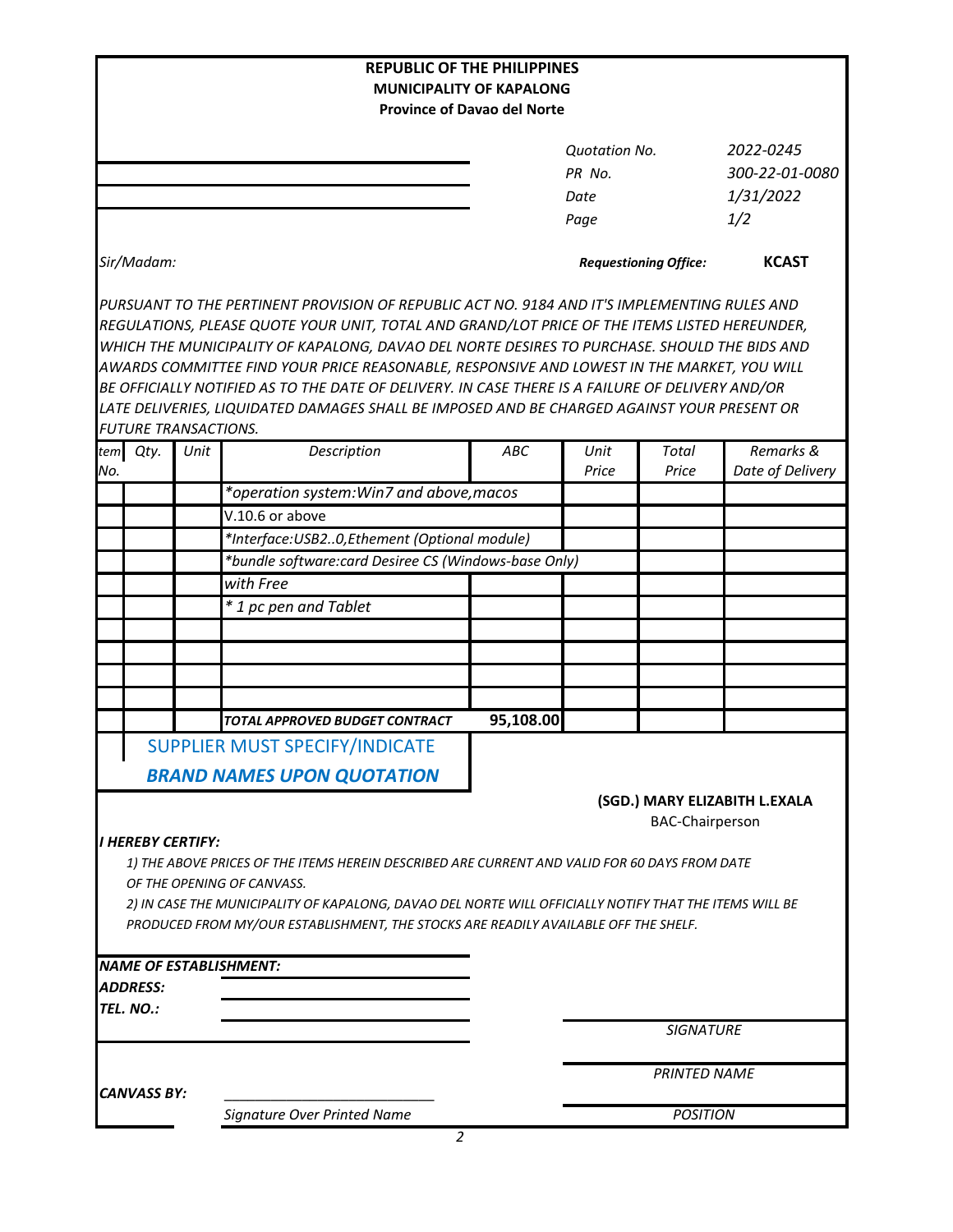|     |                                                                            |      | <b>REPUBLIC OF THE PHILIPPINES</b><br><b>MUNICIPALITY OF KAPALONG</b>                                                                                                                                                                                                                                                                                                                                                                                                                                                                                                                          |                                    |                                        |                              |                                          |
|-----|----------------------------------------------------------------------------|------|------------------------------------------------------------------------------------------------------------------------------------------------------------------------------------------------------------------------------------------------------------------------------------------------------------------------------------------------------------------------------------------------------------------------------------------------------------------------------------------------------------------------------------------------------------------------------------------------|------------------------------------|----------------------------------------|------------------------------|------------------------------------------|
|     |                                                                            |      |                                                                                                                                                                                                                                                                                                                                                                                                                                                                                                                                                                                                | <b>Province of Davao del Norte</b> |                                        |                              |                                          |
|     |                                                                            |      |                                                                                                                                                                                                                                                                                                                                                                                                                                                                                                                                                                                                |                                    | <b>Quotation No.</b><br>PR No.<br>Date |                              | 2022-0245<br>300-22-01-0080<br>1/31/2022 |
|     |                                                                            |      |                                                                                                                                                                                                                                                                                                                                                                                                                                                                                                                                                                                                |                                    | Page                                   |                              | 1/2                                      |
|     | Sir/Madam:                                                                 |      |                                                                                                                                                                                                                                                                                                                                                                                                                                                                                                                                                                                                |                                    |                                        | <b>Requestioning Office:</b> | <b>KCAST</b>                             |
|     |                                                                            |      | PURSUANT TO THE PERTINENT PROVISION OF REPUBLIC ACT NO. 9184 AND IT'S IMPLEMENTING RULES AND<br>REGULATIONS, PLEASE QUOTE YOUR UNIT, TOTAL AND GRAND/LOT PRICE OF THE ITEMS LISTED HEREUNDER,<br>WHICH THE MUNICIPALITY OF KAPALONG, DAVAO DEL NORTE DESIRES TO PURCHASE. SHOULD THE BIDS AND<br>AWARDS COMMITTEE FIND YOUR PRICE REASONABLE, RESPONSIVE AND LOWEST IN THE MARKET, YOU WILL<br>BE OFFICIALLY NOTIFIED AS TO THE DATE OF DELIVERY. IN CASE THERE IS A FAILURE OF DELIVERY AND/OR<br>LATE DELIVERIES, LIQUIDATED DAMAGES SHALL BE IMPOSED AND BE CHARGED AGAINST YOUR PRESENT OR |                                    |                                        |                              |                                          |
|     | <b>FUTURE TRANSACTIONS.</b><br>tem Qty.                                    | Unit | Description                                                                                                                                                                                                                                                                                                                                                                                                                                                                                                                                                                                    | ABC                                | Unit                                   | Total                        | Remarks &                                |
| No. |                                                                            |      |                                                                                                                                                                                                                                                                                                                                                                                                                                                                                                                                                                                                |                                    | Price                                  | Price                        | Date of Delivery                         |
|     |                                                                            |      | *operation system: Win7 and above, macos                                                                                                                                                                                                                                                                                                                                                                                                                                                                                                                                                       |                                    |                                        |                              |                                          |
|     |                                                                            |      | V.10.6 or above                                                                                                                                                                                                                                                                                                                                                                                                                                                                                                                                                                                |                                    |                                        |                              |                                          |
|     |                                                                            |      | *Interface: USB20, Ethement (Optional module)                                                                                                                                                                                                                                                                                                                                                                                                                                                                                                                                                  |                                    |                                        |                              |                                          |
|     |                                                                            |      | *bundle software:card Desiree CS (Windows-base Only)                                                                                                                                                                                                                                                                                                                                                                                                                                                                                                                                           |                                    |                                        |                              |                                          |
|     |                                                                            |      | with Free                                                                                                                                                                                                                                                                                                                                                                                                                                                                                                                                                                                      |                                    |                                        |                              |                                          |
|     |                                                                            |      | * 1 pc pen and Tablet                                                                                                                                                                                                                                                                                                                                                                                                                                                                                                                                                                          |                                    |                                        |                              |                                          |
|     |                                                                            |      |                                                                                                                                                                                                                                                                                                                                                                                                                                                                                                                                                                                                |                                    |                                        |                              |                                          |
|     |                                                                            |      |                                                                                                                                                                                                                                                                                                                                                                                                                                                                                                                                                                                                |                                    |                                        |                              |                                          |
|     |                                                                            |      |                                                                                                                                                                                                                                                                                                                                                                                                                                                                                                                                                                                                |                                    |                                        |                              |                                          |
|     |                                                                            |      |                                                                                                                                                                                                                                                                                                                                                                                                                                                                                                                                                                                                |                                    |                                        |                              |                                          |
|     |                                                                            |      |                                                                                                                                                                                                                                                                                                                                                                                                                                                                                                                                                                                                |                                    |                                        |                              |                                          |
|     |                                                                            |      | TOTAL APPROVED BUDGET CONTRACT                                                                                                                                                                                                                                                                                                                                                                                                                                                                                                                                                                 | 95,108.00                          |                                        |                              |                                          |
|     | <b>SUPPLIER MUST SPECIFY/INDICATE</b><br><b>BRAND NAMES UPON QUOTATION</b> |      |                                                                                                                                                                                                                                                                                                                                                                                                                                                                                                                                                                                                |                                    |                                        |                              |                                          |
|     |                                                                            |      |                                                                                                                                                                                                                                                                                                                                                                                                                                                                                                                                                                                                |                                    |                                        | <b>BAC-Chairperson</b>       | (SGD.) MARY ELIZABITH L.EXALA            |
|     | <i><b>I HEREBY CERTIFY:</b></i>                                            |      | 1) THE ABOVE PRICES OF THE ITEMS HEREIN DESCRIBED ARE CURRENT AND VALID FOR 60 DAYS FROM DATE<br>OF THE OPENING OF CANVASS.<br>2) IN CASE THE MUNICIPALITY OF KAPALONG, DAVAO DEL NORTE WILL OFFICIALLY NOTIFY THAT THE ITEMS WILL BE<br>PRODUCED FROM MY/OUR ESTABLISHMENT, THE STOCKS ARE READILY AVAILABLE OFF THE SHELF.                                                                                                                                                                                                                                                                   |                                    |                                        |                              |                                          |
|     |                                                                            |      | <b>NAME OF ESTABLISHMENT:</b>                                                                                                                                                                                                                                                                                                                                                                                                                                                                                                                                                                  |                                    |                                        |                              |                                          |
|     | <i><b>ADDRESS:</b></i>                                                     |      |                                                                                                                                                                                                                                                                                                                                                                                                                                                                                                                                                                                                |                                    |                                        |                              |                                          |
|     | TEL. NO.:                                                                  |      |                                                                                                                                                                                                                                                                                                                                                                                                                                                                                                                                                                                                |                                    |                                        |                              |                                          |
|     |                                                                            |      |                                                                                                                                                                                                                                                                                                                                                                                                                                                                                                                                                                                                |                                    |                                        | <b>SIGNATURE</b>             |                                          |
|     | <b>CANVASS BY:</b>                                                         |      |                                                                                                                                                                                                                                                                                                                                                                                                                                                                                                                                                                                                |                                    |                                        | <b>PRINTED NAME</b>          |                                          |
|     |                                                                            |      | Signature Over Printed Name                                                                                                                                                                                                                                                                                                                                                                                                                                                                                                                                                                    |                                    |                                        | <b>POSITION</b>              |                                          |
|     |                                                                            |      | 2                                                                                                                                                                                                                                                                                                                                                                                                                                                                                                                                                                                              |                                    |                                        |                              |                                          |